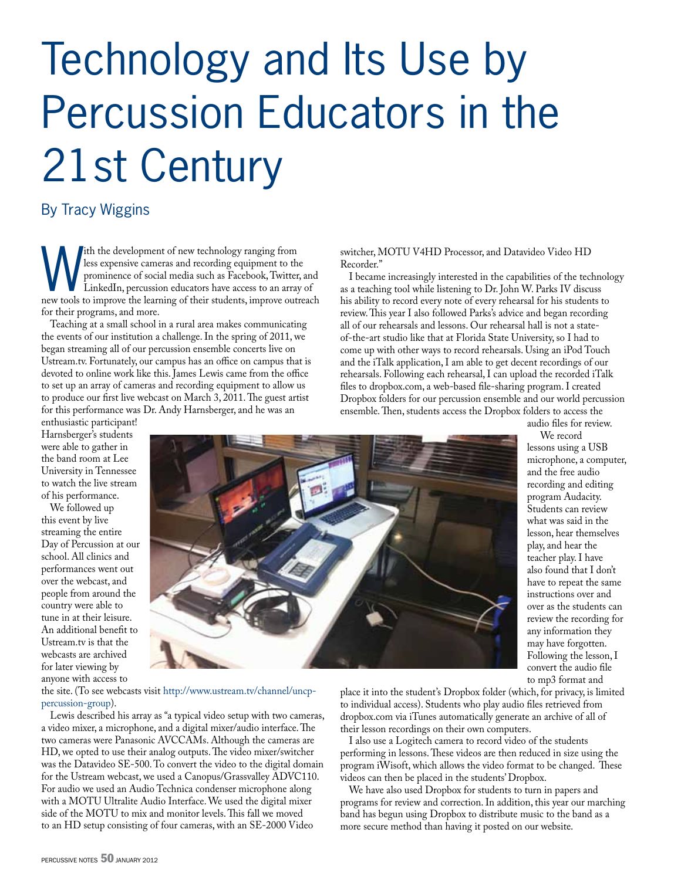## Technology and Its Use by Percussion Educators in the 21st Century

### By Tracy Wiggins

with the development of new technology ranging from<br>less expensive cameras and recording equipment to the<br>prominence of social media such as Facebook, Twitter<br>LinkedIn, percussion educators have access to an array<br>new tool less expensive cameras and recording equipment to the prominence of social media such as Facebook, Twitter, and LinkedIn, percussion educators have access to an array of new tools to improve the learning of their students, improve outreach for their programs, and more.

Teaching at a small school in a rural area makes communicating the events of our institution a challenge. In the spring of 2011, we began streaming all of our percussion ensemble concerts live on Ustream.tv. Fortunately, our campus has an office on campus that is devoted to online work like this. James Lewis came from the office to set up an array of cameras and recording equipment to allow us to produce our first live webcast on March 3, 2011. The guest artist for this performance was Dr. Andy Harnsberger, and he was an

switcher, MOTU V4HD Processor, and Datavideo Video HD Recorder."

I became increasingly interested in the capabilities of the technology as a teaching tool while listening to Dr. John W. Parks IV discuss his ability to record every note of every rehearsal for his students to review. This year I also followed Parks's advice and began recording all of our rehearsals and lessons. Our rehearsal hall is not a stateof-the-art studio like that at Florida State University, so I had to come up with other ways to record rehearsals. Using an iPod Touch and the iTalk application, I am able to get decent recordings of our rehearsals. Following each rehearsal, I can upload the recorded iTalk files to dropbox.com, a web-based file-sharing program. I created Dropbox folders for our percussion ensemble and our world percussion ensemble. Then, students access the Dropbox folders to access the audio files for review.

enthusiastic participant! Harnsberger's students were able to gather in the band room at Lee University in Tennessee to watch the live stream of his performance.

We followed up this event by live streaming the entire Day of Percussion at our school. All clinics and performances went out over the webcast, and people from around the country were able to tune in at their leisure. An additional benefit to Ustream.tv is that the webcasts are archived for later viewing by anyone with access to



lessons using a USB microphone, a computer, and the free audio recording and editing program Audacity. Students can review what was said in the lesson, hear themselves play, and hear the teacher play. I have also found that I don't have to repeat the same instructions over and over as the students can review the recording for any information they may have forgotten. Following the lesson, I convert the audio file to mp3 format and

We record

the site. (To see webcasts visit [http://www.ustream.tv/channel/uncp](http://www.ustream.tv/channel/uncp-percussion-group)[percussion-group\)](http://www.ustream.tv/channel/uncp-percussion-group).

Lewis described his array as "a typical video setup with two cameras, a video mixer, a microphone, and a digital mixer/audio interface. The two cameras were Panasonic AVCCAMs. Although the cameras are HD, we opted to use their analog outputs. The video mixer/switcher was the Datavideo SE-500. To convert the video to the digital domain for the Ustream webcast, we used a Canopus/Grassvalley ADVC110. For audio we used an Audio Technica condenser microphone along with a MOTU Ultralite Audio Interface. We used the digital mixer side of the MOTU to mix and monitor levels. This fall we moved to an HD setup consisting of four cameras, with an SE-2000 Video

place it into the student's Dropbox folder (which, for privacy, is limited to individual access). Students who play audio files retrieved from dropbox.com via iTunes automatically generate an archive of all of their lesson recordings on their own computers.

I also use a Logitech camera to record video of the students performing in lessons. These videos are then reduced in size using the program iWisoft, which allows the video format to be changed. These videos can then be placed in the students' Dropbox.

We have also used Dropbox for students to turn in papers and programs for review and correction. In addition, this year our marching band has begun using Dropbox to distribute music to the band as a more secure method than having it posted on our website.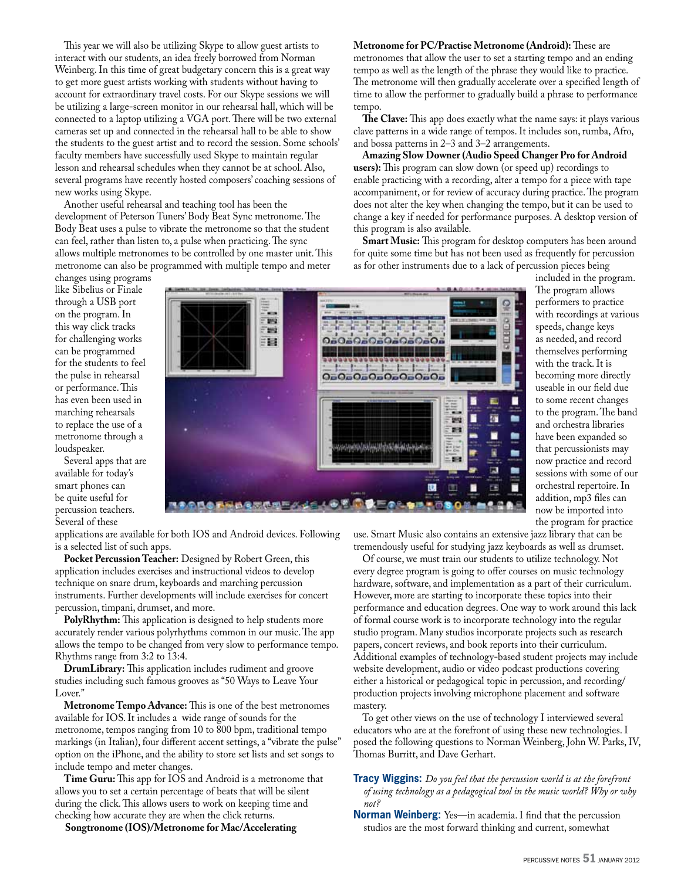This year we will also be utilizing Skype to allow guest artists to interact with our students, an idea freely borrowed from Norman Weinberg. In this time of great budgetary concern this is a great way to get more guest artists working with students without having to account for extraordinary travel costs. For our Skype sessions we will be utilizing a large-screen monitor in our rehearsal hall, which will be connected to a laptop utilizing a VGA port. There will be two external cameras set up and connected in the rehearsal hall to be able to show the students to the guest artist and to record the session. Some schools' faculty members have successfully used Skype to maintain regular lesson and rehearsal schedules when they cannot be at school. Also, several programs have recently hosted composers' coaching sessions of new works using Skype.

Another useful rehearsal and teaching tool has been the development of Peterson Tuners' Body Beat Sync metronome. The Body Beat uses a pulse to vibrate the metronome so that the student can feel, rather than listen to, a pulse when practicing. The sync allows multiple metronomes to be controlled by one master unit. This metronome can also be programmed with multiple tempo and meter

changes using programs like Sibelius or Finale through a USB port on the program. In this way click tracks for challenging works can be programmed for the students to feel the pulse in rehearsal or performance. This has even been used in marching rehearsals to replace the use of a metronome through a loudspeaker.

Several apps that are available for today's smart phones can be quite useful for percussion teachers. Several of these

applications are available for both IOS and Android devices. Following is a selected list of such apps.

**Pocket Percussion Teacher:** Designed by Robert Green, this application includes exercises and instructional videos to develop technique on snare drum, keyboards and marching percussion instruments. Further developments will include exercises for concert percussion, timpani, drumset, and more.

**PolyRhythm:** This application is designed to help students more accurately render various polyrhythms common in our music. The app allows the tempo to be changed from very slow to performance tempo. Rhythms range from 3:2 to 13:4.

**DrumLibrary:** This application includes rudiment and groove studies including such famous grooves as "50 Ways to Leave Your Lover."

**Metronome Tempo Advance:** This is one of the best metronomes available for IOS. It includes a wide range of sounds for the metronome, tempos ranging from 10 to 800 bpm, traditional tempo markings (in Italian), four different accent settings, a "vibrate the pulse" option on the iPhone, and the ability to store set lists and set songs to include tempo and meter changes.

**Time Guru:** This app for IOS and Android is a metronome that allows you to set a certain percentage of beats that will be silent during the click. This allows users to work on keeping time and checking how accurate they are when the click returns.

**Songtronome (IOS)/Metronome for Mac/Accelerating** 

**Metronome for PC/Practise Metronome (Android):** These are metronomes that allow the user to set a starting tempo and an ending tempo as well as the length of the phrase they would like to practice. The metronome will then gradually accelerate over a specified length of time to allow the performer to gradually build a phrase to performance tempo.

**The Clave:** This app does exactly what the name says: it plays various clave patterns in a wide range of tempos. It includes son, rumba, Afro, and bossa patterns in 2–3 and 3–2 arrangements.

**Amazing Slow Downer (Audio Speed Changer Pro for Android users):** This program can slow down (or speed up) recordings to enable practicing with a recording, alter a tempo for a piece with tape accompaniment, or for review of accuracy during practice. The program does not alter the key when changing the tempo, but it can be used to change a key if needed for performance purposes. A desktop version of this program is also available.

**Smart Music:** This program for desktop computers has been around for quite some time but has not been used as frequently for percussion as for other instruments due to a lack of percussion pieces being

included in the program. The program allows

erformers to practice ith recordings at various speeds, change keys needed, and record themselves performing ith the track. It is becoming more directly seable in our field due o some recent changes o the program. The band and orchestra libraries ave been expanded so nat percussionists may ow practice and record sessions with some of our rchestral repertoire. In addition, mp3 files can now be imported into

the program for practice

use. Smart Music also contains an extensive jazz library that can be tremendously useful for studying jazz keyboards as well as drumset. Of course, we must train our students to utilize technology. Not

every degree program is going to offer courses on music technology hardware, software, and implementation as a part of their curriculum. However, more are starting to incorporate these topics into their performance and education degrees. One way to work around this lack of formal course work is to incorporate technology into the regular studio program. Many studios incorporate projects such as research papers, concert reviews, and book reports into their curriculum. Additional examples of technology-based student projects may include website development, audio or video podcast productions covering either a historical or pedagogical topic in percussion, and recording/ production projects involving microphone placement and software mastery.

To get other views on the use of technology I interviewed several educators who are at the forefront of using these new technologies. I posed the following questions to Norman Weinberg, John W. Parks, IV, Thomas Burritt, and Dave Gerhart.

**Tracy Wiggins:** *Do you feel that the percussion world is at the forefront of using technology as a pedagogical tool in the music world? Why or why not?*

**Norman Weinberg:** Yes—in academia. I find that the percussion studios are the most forward thinking and current, somewhat

| and the company of the first state.                                                 | <b>MFLOWN AVE</b>                                                                                                                                                               | L.                                 |
|-------------------------------------------------------------------------------------|---------------------------------------------------------------------------------------------------------------------------------------------------------------------------------|------------------------------------|
| <b>House</b> C.<br><b>THEFT</b><br><b>Classified</b><br>-<br>- -<br>2052<br>۳<br>目録 | <b>MATTLE</b><br>ο<br>霥<br>m<br><b>THER</b><br><b>OsOsOsOsOsOsOs</b><br>$-$<br><b>THE</b><br>341 351 351 351 351 351<br>Brown  Brown<br><b>CARD II</b><br><b>OnOnOnOnOnOnOn</b> | P<br>W<br>sp<br>as<br>tł<br>W<br>b |
|                                                                                     | ment the season<br>$\overline{\phantom{a}}$                                                                                                                                     | u:                                 |
|                                                                                     | --<br><b>Marchand Rd Scott Lab</b><br>注三<br><b>ATT</b> SHOW<br><b>Fisca</b><br><b>Alberta</b>                                                                                   | to                                 |
|                                                                                     | ۰<br>2012<br>-<br>a france                                                                                                                                                      | to<br>a <sub>1</sub>               |
|                                                                                     | 翻译<br>œ<br><b><i><u>START COMPANY</u></i></b><br><b>Healt</b><br>a in<br><b>MARINIAN</b><br><b>Brac</b>                                                                         | h                                  |
|                                                                                     | H.<br><b>SHARE</b><br>$-11$<br>Ľ<br><b>Charles</b>                                                                                                                              | tł                                 |
|                                                                                     | $-38$<br>---<br>= 3.                                                                                                                                                            | $\mathbf{n}$                       |
|                                                                                     | ш<br>$1 - 31$<br>H<br><b>Roma call</b><br>Pond<br>2012 - 2010 -                                                                                                                 | se                                 |
|                                                                                     | U<br>Œ<br>医<br><b>Code: NI</b><br>---                                                                                                                                           | O <sub>1</sub>                     |
|                                                                                     | <b>WILL LIMB</b>                                                                                                                                                                | a                                  |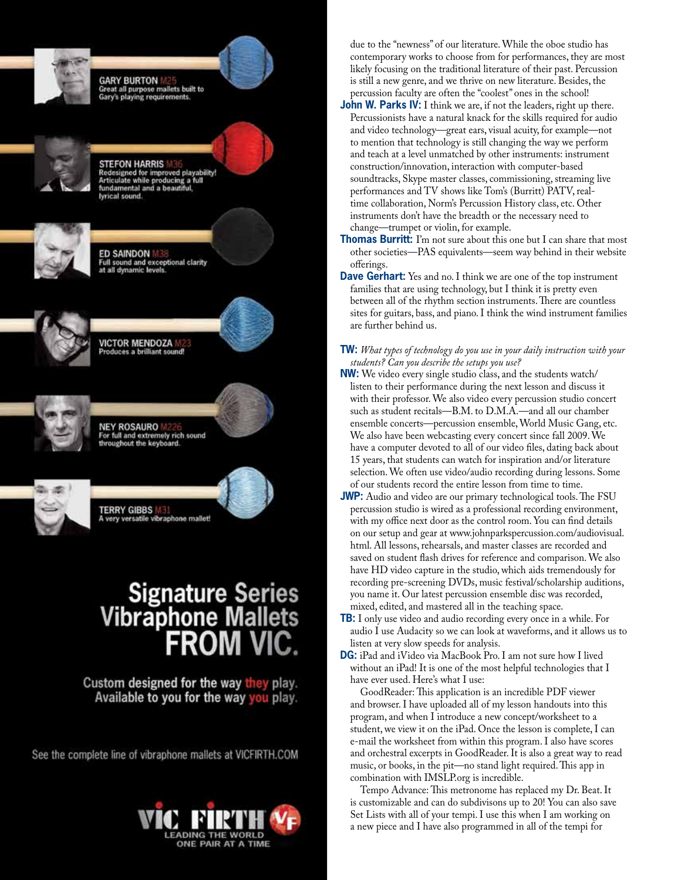

Set Lists with all of your tempi. I use this when I am working on a new piece and I have also programmed in all of the tempi for

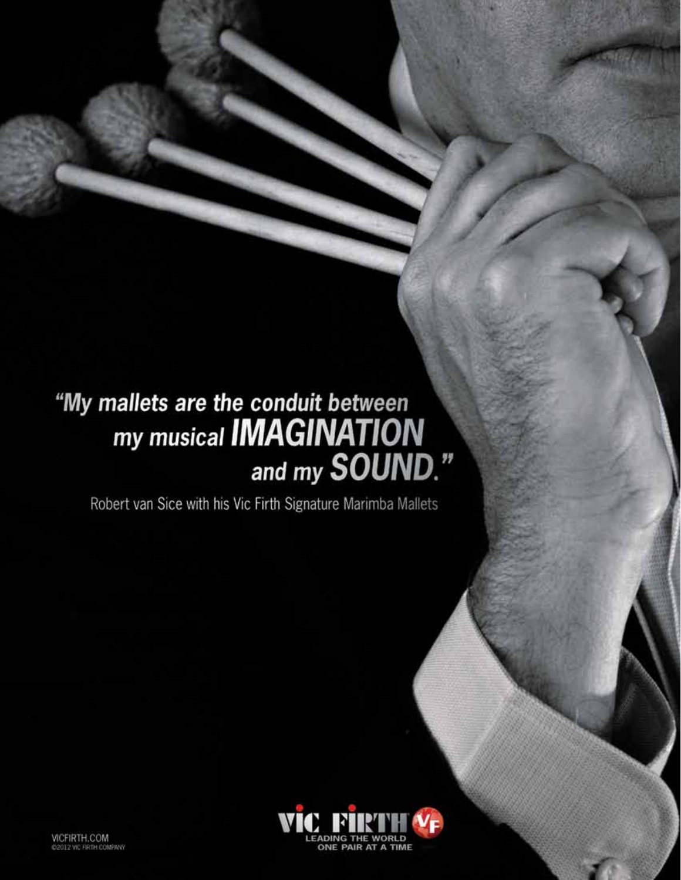# "My mallets are the conduit between<br>my musical **IMAGINATION**<br>and my **SOUND**."

Robert van Sice with his Vic Firth Signature Marimba Mallets

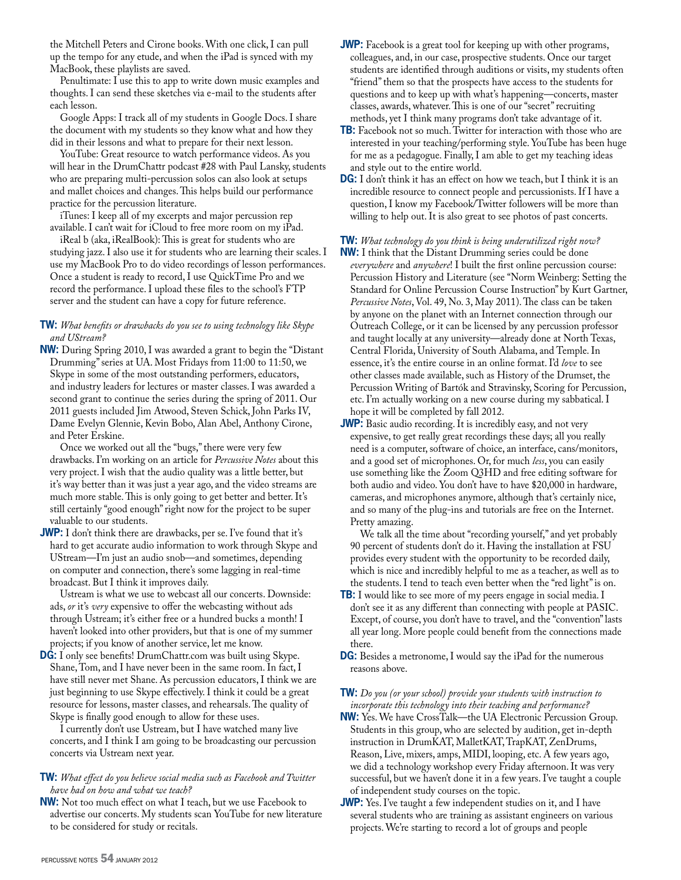the Mitchell Peters and Cirone books. With one click, I can pull up the tempo for any etude, and when the iPad is synced with my MacBook, these playlists are saved.

 Penultimate: I use this to app to write down music examples and thoughts. I can send these sketches via e-mail to the students after each lesson.

 Google Apps: I track all of my students in Google Docs. I share the document with my students so they know what and how they did in their lessons and what to prepare for their next lesson.

 YouTube: Great resource to watch performance videos. As you will hear in the DrumChattr podcast #28 with Paul Lansky, students who are preparing multi-percussion solos can also look at setups and mallet choices and changes. This helps build our performance practice for the percussion literature.

 iTunes: I keep all of my excerpts and major percussion rep available. I can't wait for iCloud to free more room on my iPad.

 iReal b (aka, iRealBook): This is great for students who are studying jazz. I also use it for students who are learning their scales. I use my MacBook Pro to do video recordings of lesson performances. Once a student is ready to record, I use QuickTime Pro and we record the performance. I upload these files to the school's FTP server and the student can have a copy for future reference.

#### **TW:** *What benefits or drawbacks do you see to using technology like Skype and UStream?*

**NW:** During Spring 2010, I was awarded a grant to begin the "Distant Drumming" series at UA. Most Fridays from 11:00 to 11:50, we Skype in some of the most outstanding performers, educators, and industry leaders for lectures or master classes. I was awarded a second grant to continue the series during the spring of 2011. Our 2011 guests included Jim Atwood, Steven Schick, John Parks IV, Dame Evelyn Glennie, Kevin Bobo, Alan Abel, Anthony Cirone, and Peter Erskine.

 Once we worked out all the "bugs," there were very few drawbacks. I'm working on an article for *Percussive Notes* about this very project. I wish that the audio quality was a little better, but it's way better than it was just a year ago, and the video streams are much more stable. This is only going to get better and better. It's still certainly "good enough" right now for the project to be super valuable to our students.

**JWP:** I don't think there are drawbacks, per se. I've found that it's hard to get accurate audio information to work through Skype and UStream—I'm just an audio snob—and sometimes, depending on computer and connection, there's some lagging in real-time broadcast. But I think it improves daily.

 Ustream is what we use to webcast all our concerts. Downside: ads, *or* it's *very* expensive to offer the webcasting without ads through Ustream; it's either free or a hundred bucks a month! I haven't looked into other providers, but that is one of my summer projects; if you know of another service, let me know.

**DG:** I only see benefits! DrumChattr.com was built using Skype. Shane, Tom, and I have never been in the same room. In fact, I have still never met Shane. As percussion educators, I think we are just beginning to use Skype effectively. I think it could be a great resource for lessons, master classes, and rehearsals. The quality of Skype is finally good enough to allow for these uses.

 I currently don't use Ustream, but I have watched many live concerts, and I think I am going to be broadcasting our percussion concerts via Ustream next year.

#### **TW:** *What effect do you believe social media such as Facebook and Twitter have had on how and what we teach?*

**NW:** Not too much effect on what I teach, but we use Facebook to advertise our concerts. My students scan YouTube for new literature to be considered for study or recitals.

- **JWP:** Facebook is a great tool for keeping up with other programs, colleagues, and, in our case, prospective students. Once our target students are identified through auditions or visits, my students often "friend" them so that the prospects have access to the students for questions and to keep up with what's happening—concerts, master classes, awards, whatever. This is one of our "secret" recruiting methods, yet I think many programs don't take advantage of it.
- **TB:** Facebook not so much. Twitter for interaction with those who are interested in your teaching/performing style. YouTube has been huge for me as a pedagogue. Finally, I am able to get my teaching ideas and style out to the entire world.
- **DG:** I don't think it has an effect on how we teach, but I think it is an incredible resource to connect people and percussionists. If I have a question, I know my Facebook/Twitter followers will be more than willing to help out. It is also great to see photos of past concerts.

**TW:** *What technology do you think is being underutilized right now?*

- **NW:** I think that the Distant Drumming series could be done *everywhere* and *anywhere*! I built the first online percussion course: Percussion History and Literature (see "Norm Weinberg: Setting the Standard for Online Percussion Course Instruction" by Kurt Gartner, *Percussive Notes*, Vol. 49, No. 3, May 2011). The class can be taken by anyone on the planet with an Internet connection through our Outreach College, or it can be licensed by any percussion professor and taught locally at any university—already done at North Texas, Central Florida, University of South Alabama, and Temple. In essence, it's the entire course in an online format. I'd *love* to see other classes made available, such as History of the Drumset, the Percussion Writing of Bartók and Stravinsky, Scoring for Percussion, etc. I'm actually working on a new course during my sabbatical. I hope it will be completed by fall 2012.
- **JWP:** Basic audio recording. It is incredibly easy, and not very expensive, to get really great recordings these days; all you really need is a computer, software of choice, an interface, cans/monitors, and a good set of microphones. Or, for much *less*, you can easily use something like the Zoom Q3HD and free editing software for both audio and video. You don't have to have \$20,000 in hardware, cameras, and microphones anymore, although that's certainly nice, and so many of the plug-ins and tutorials are free on the Internet. Pretty amazing.

 We talk all the time about "recording yourself," and yet probably 90 percent of students don't do it. Having the installation at FSU provides every student with the opportunity to be recorded daily, which is nice and incredibly helpful to me as a teacher, as well as to the students. I tend to teach even better when the "red light" is on.

- **TB:** I would like to see more of my peers engage in social media. I don't see it as any different than connecting with people at PASIC. Except, of course, you don't have to travel, and the "convention" lasts all year long. More people could benefit from the connections made there.
- **DG:** Besides a metronome, I would say the iPad for the numerous reasons above.

#### **TW:** *Do you (or your school) provide your students with instruction to incorporate this technology into their teaching and performance?*

- **NW:** Yes. We have CrossTalk—the UA Electronic Percussion Group. Students in this group, who are selected by audition, get in-depth instruction in DrumKAT, MalletKAT, TrapKAT, ZenDrums, Reason, Live, mixers, amps, MIDI, looping, etc. A few years ago, we did a technology workshop every Friday afternoon. It was very successful, but we haven't done it in a few years. I've taught a couple of independent study courses on the topic.
- **JWP:** Yes. I've taught a few independent studies on it, and I have several students who are training as assistant engineers on various projects. We're starting to record a lot of groups and people